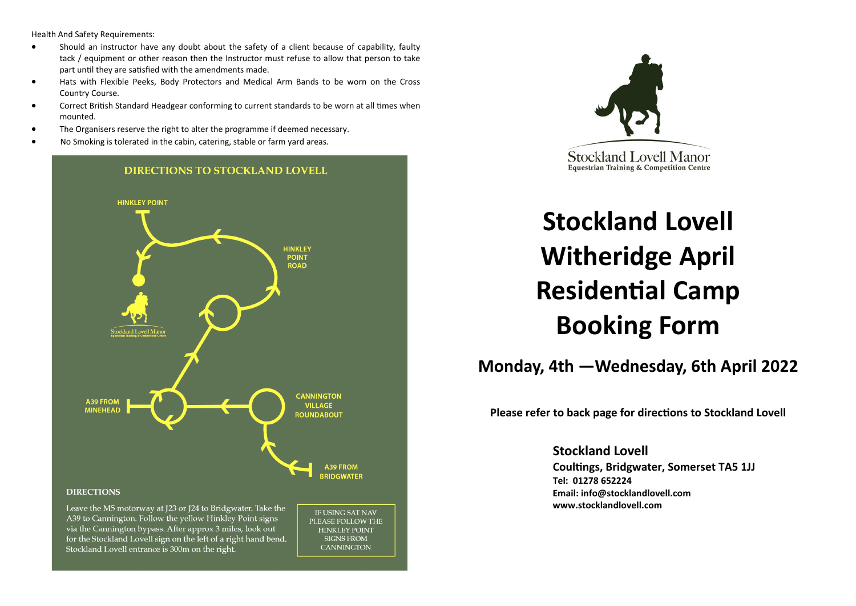Health And Safety Requirements:

- Should an instructor have any doubt about the safety of a client because of capability, faulty tack / equipment or other reason then the Instructor must refuse to allow that person to take part until they are satisfied with the amendments made.
- Hats with Flexible Peeks, Body Protectors and Medical Arm Bands to be worn on the Cross Country Course.
- Correct British Standard Headgear conforming to current standards to be worn at all times when mounted.
- The Organisers reserve the right to alter the programme if deemed necessary.
- No Smoking is tolerated in the cabin, catering, stable or farm yard areas.





# **Stockland Lovell Witheridge April Residential Camp Booking Form**

**Monday, 4th —Wednesday, 6th April 2022**

**Please refer to back page for directions to Stockland Lovell**

**Stockland Lovell Coultings, Bridgwater, Somerset TA5 1JJ Tel: 01278 652224 Email: info@stocklandlovell.com www.stocklandlovell.com**

A39 to Cannington. Follow the yellow Hinkley Point signs via the Cannington bypass. After approx 3 miles, look out for the Stockland Lovell sign on the left of a right hand bend. Stockland Lovell entrance is 300m on the right.

PLEASE FOLLOW THE **HINKLEY POINT** SIGNS FROM **CANNINGTON**